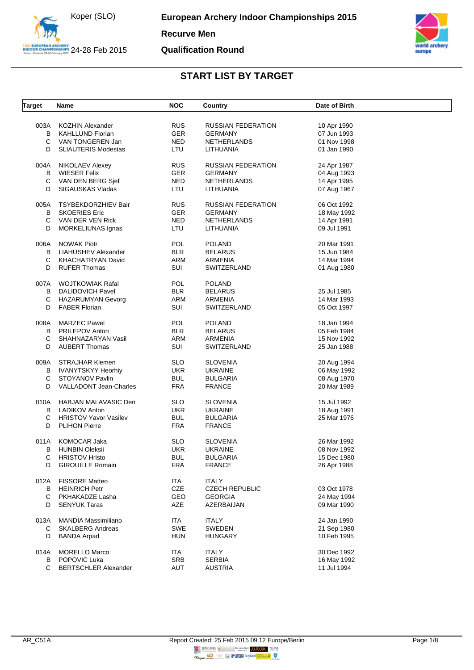



**Qualification Round**

| <b>Target</b> | Name                         | <b>NOC</b> | Country                   | Date of Birth |  |
|---------------|------------------------------|------------|---------------------------|---------------|--|
| 003A          | KOZHIN Alexander             | <b>RUS</b> | <b>RUSSIAN FEDERATION</b> | 10 Apr 1990   |  |
| B             | <b>KAHLLUND Florian</b>      | <b>GER</b> | <b>GERMANY</b>            | 07 Jun 1993   |  |
| С             | VAN TONGEREN Jan             | <b>NED</b> | <b>NETHERLANDS</b>        | 01 Nov 1998   |  |
| D             | <b>SLIAUTERIS Modestas</b>   | LTU        | LITHUANIA                 | 01 Jan 1990   |  |
|               |                              |            |                           |               |  |
| 004A          | NIKOLAEV Alexey              | <b>RUS</b> | <b>RUSSIAN FEDERATION</b> | 24 Apr 1987   |  |
| B             | <b>WIESER Felix</b>          | <b>GER</b> | <b>GERMANY</b>            | 04 Aug 1993   |  |
| С             | VAN DEN BERG Sief            | <b>NED</b> | NETHERLANDS               | 14 Apr 1995   |  |
| D             | SIGAUSKAS Vladas             | LTU        | LITHUANIA                 | 07 Aug 1967   |  |
| 005A          | TSYBEKDORZHIEV Bair          | <b>RUS</b> | <b>RUSSIAN FEDERATION</b> | 06 Oct 1992   |  |
| B             | <b>SKOERIES Eric</b>         | <b>GER</b> | <b>GERMANY</b>            | 18 May 1992   |  |
| С             | VAN DER VEN Rick             | <b>NED</b> | <b>NETHERLANDS</b>        | 14 Apr 1991   |  |
| D             | MORKELIUNAS Ignas            | LTU        | LITHUANIA                 | 09 Jul 1991   |  |
| 006A          | <b>NOWAK Piotr</b>           | <b>POL</b> | <b>POLAND</b>             | 20 Mar 1991   |  |
| В             | LIAHUSHEV Alexander          | <b>BLR</b> | <b>BELARUS</b>            | 15 Jun 1984   |  |
| С             | KHACHATRYAN David            | <b>ARM</b> | ARMENIA                   | 14 Mar 1994   |  |
| D             | <b>RUFER Thomas</b>          | SUI        | SWITZERLAND               | 01 Aug 1980   |  |
|               |                              |            |                           |               |  |
| 007A          | WOJTKOWIAK Rafal             | <b>POL</b> | <b>POLAND</b>             |               |  |
| B             | DALIDOVICH Pavel             | <b>BLR</b> | <b>BELARUS</b>            | 25 Jul 1985   |  |
| С             | HAZARUMYAN Gevorg            | ARM        | <b>ARMENIA</b>            | 14 Mar 1993   |  |
| D             | <b>FABER Florian</b>         | SUI        | SWITZERLAND               | 05 Oct 1997   |  |
| 008A          | <b>MARZEC Pawel</b>          | <b>POL</b> | <b>POLAND</b>             | 18 Jan 1994   |  |
| В             | <b>PRILEPOV Anton</b>        | <b>BLR</b> | <b>BELARUS</b>            | 05 Feb 1984   |  |
| С             | SHAHNAZARYAN Vasil           | ARM        | ARMENIA                   | 15 Nov 1992   |  |
| D             | <b>AUBERT Thomas</b>         | SUI        | SWITZERLAND               | 25 Jan 1988   |  |
|               | 009A STRAJHAR Klemen         | <b>SLO</b> | <b>SLOVENIA</b>           | 20 Aug 1994   |  |
| B             | IVANYTSKYY Heorhiy           | <b>UKR</b> | <b>UKRAINE</b>            | 06 May 1992   |  |
| С             | STOYANOV Pavlin              | <b>BUL</b> | <b>BULGARIA</b>           | 08 Aug 1970   |  |
| D             | VALLADONT Jean-Charles       | <b>FRA</b> | <b>FRANCE</b>             | 20 Mar 1989   |  |
|               | 010A HABJAN MALAVASIC Den    | <b>SLO</b> | <b>SLOVENIA</b>           | 15 Jul 1992   |  |
| B             | LADIKOV Anton                | <b>UKR</b> | <b>UKRAINE</b>            | 18 Aug 1991   |  |
| С             | <b>HRISTOV Yavor Vasilev</b> | <b>BUL</b> | <b>BULGARIA</b>           | 25 Mar 1976   |  |
| D             | <b>PLIHON Pierre</b>         | <b>FRA</b> | <b>FRANCE</b>             |               |  |
| 011A          | KOMOCAR Jaka                 | <b>SLO</b> | <b>SLOVENIA</b>           | 26 Mar 1992   |  |
| В             | <b>HUNBIN Oleksii</b>        | <b>UKR</b> | <b>UKRAINE</b>            | 08 Nov 1992   |  |
| С             | <b>HRISTOV Hristo</b>        | <b>BUL</b> | <b>BULGARIA</b>           | 15 Dec 1980   |  |
| D             | <b>GIROUILLE Romain</b>      | <b>FRA</b> | <b>FRANCE</b>             | 26 Apr 1988   |  |
| 012A          | <b>FISSORE Matteo</b>        | ITA        | <b>ITALY</b>              |               |  |
| В             | <b>HEINRICH Petr</b>         | CZE        | <b>CZECH REPUBLIC</b>     | 03 Oct 1978   |  |
| С             | PKHAKADZE Lasha              | GEO        | <b>GEORGIA</b>            | 24 May 1994   |  |
| D             | <b>SENYUK Taras</b>          | AZE        | AZERBAIJAN                | 09 Mar 1990   |  |
|               |                              |            |                           |               |  |
| 013A          | <b>MANDIA Massimiliano</b>   | ITA<br>SWE | <b>ITALY</b>              | 24 Jan 1990   |  |
| C             | <b>SKALBERG Andreas</b>      |            | SWEDEN                    | 21 Sep 1980   |  |
| D             | <b>BANDA Arpad</b>           | <b>HUN</b> | <b>HUNGARY</b>            | 10 Feb 1995   |  |
| 014A          | <b>MORELLO Marco</b>         | ITA        | <b>ITALY</b>              | 30 Dec 1992   |  |
| В             | POPOVIC Luka                 | <b>SRB</b> | <b>SERBIA</b>             | 16 May 1992   |  |
| C             | <b>BERTSCHLER Alexander</b>  | AUT        | <b>AUSTRIA</b>            | 11 Jul 1994   |  |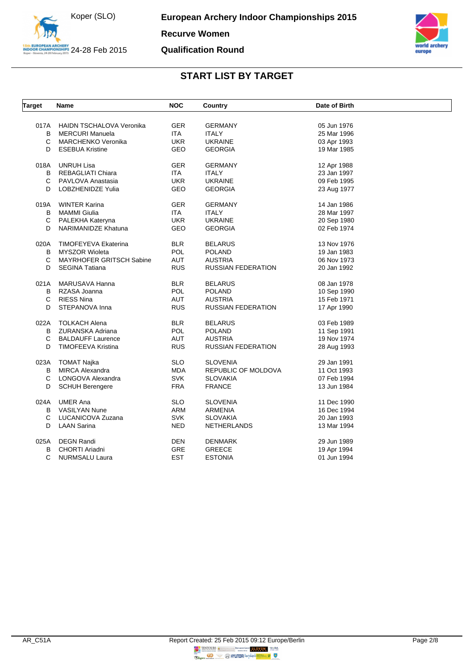

**Recurve Women**

#### **Qualification Round**



| Target      | Name                            | NOC        | Country                   | Date of Birth |  |
|-------------|---------------------------------|------------|---------------------------|---------------|--|
|             |                                 |            |                           |               |  |
| 017A        | <b>HAIDN TSCHALOVA Veronika</b> | <b>GER</b> | <b>GERMANY</b>            | 05 Jun 1976   |  |
| B           | <b>MERCURI Manuela</b>          | <b>ITA</b> | <b>ITALY</b>              | 25 Mar 1996   |  |
| C           | MARCHENKO Veronika              | <b>UKR</b> | <b>UKRAINE</b>            | 03 Apr 1993   |  |
| D           | <b>ESEBUA Kristine</b>          | GEO        | <b>GEORGIA</b>            | 19 Mar 1985   |  |
| 018A        | <b>UNRUH Lisa</b>               | <b>GER</b> | <b>GERMANY</b>            | 12 Apr 1988   |  |
| B           | REBAGLIATI Chiara               | <b>ITA</b> | <b>ITALY</b>              | 23 Jan 1997   |  |
| C           | PAVLOVA Anastasia               | <b>UKR</b> | <b>UKRAINE</b>            | 09 Feb 1995   |  |
| D           | LOBZHENIDZE Yulia               | GEO        | <b>GEORGIA</b>            | 23 Aug 1977   |  |
| 019A        | <b>WINTER Karina</b>            | <b>GER</b> | <b>GERMANY</b>            | 14 Jan 1986   |  |
| B           | <b>MAMMI Giulia</b>             | ITA.       | <b>ITALY</b>              | 28 Mar 1997   |  |
| С           | PALEKHA Kateryna                | <b>UKR</b> | <b>UKRAINE</b>            | 20 Sep 1980   |  |
| D           | NARIMANIDZE Khatuna             | GEO        | <b>GEORGIA</b>            | 02 Feb 1974   |  |
|             |                                 |            |                           |               |  |
| 020A        | TIMOFEYEVA Ekaterina            | <b>BLR</b> | <b>BELARUS</b>            | 13 Nov 1976   |  |
| B           | <b>MYSZOR Wioleta</b>           | POL        | <b>POLAND</b>             | 19 Jan 1983   |  |
| C           | MAYRHOFER GRITSCH Sabine        | <b>AUT</b> | <b>AUSTRIA</b>            | 06 Nov 1973   |  |
| D           | <b>SEGINA Tatiana</b>           | <b>RUS</b> | <b>RUSSIAN FEDERATION</b> | 20 Jan 1992   |  |
|             |                                 |            |                           |               |  |
| 021A        | MARUSAVA Hanna                  | <b>BLR</b> | <b>BELARUS</b>            | 08 Jan 1978   |  |
| B           | RZASA Joanna                    | <b>POL</b> | <b>POLAND</b>             | 10 Sep 1990   |  |
| C           | <b>RIESS Nina</b>               | <b>AUT</b> | <b>AUSTRIA</b>            | 15 Feb 1971   |  |
| D           | STEPANOVA Inna                  | <b>RUS</b> | RUSSIAN FEDERATION        | 17 Apr 1990   |  |
| 022A        | <b>TOLKACH Alena</b>            | <b>BLR</b> | <b>BELARUS</b>            | 03 Feb 1989   |  |
| B           | ZURANSKA Adriana                | <b>POL</b> | <b>POLAND</b>             | 11 Sep 1991   |  |
| C           | <b>BALDAUFF Laurence</b>        | <b>AUT</b> | <b>AUSTRIA</b>            | 19 Nov 1974   |  |
| D           | <b>TIMOFEEVA Kristina</b>       | <b>RUS</b> | RUSSIAN FEDERATION        | 28 Aug 1993   |  |
|             |                                 |            |                           |               |  |
| 023A        | <b>TOMAT Najka</b>              | <b>SLO</b> | <b>SLOVENIA</b>           | 29 Jan 1991   |  |
| B           | <b>MIRCA Alexandra</b>          | <b>MDA</b> | REPUBLIC OF MOLDOVA       | 11 Oct 1993   |  |
| $\mathbf C$ | LONGOVA Alexandra               | <b>SVK</b> | <b>SLOVAKIA</b>           | 07 Feb 1994   |  |
| D           | <b>SCHUH Berengere</b>          | <b>FRA</b> | <b>FRANCE</b>             | 13 Jun 1984   |  |
|             |                                 |            |                           |               |  |
| 024A        | <b>UMER Ana</b>                 | <b>SLO</b> | <b>SLOVENIA</b>           | 11 Dec 1990   |  |
| B           | <b>VASILYAN Nune</b>            | ARM        | ARMENIA                   | 16 Dec 1994   |  |
| C           | LUCANICOVA Zuzana               | <b>SVK</b> | <b>SLOVAKIA</b>           | 20 Jan 1993   |  |
| D           | <b>LAAN Sarina</b>              | <b>NED</b> | <b>NETHERLANDS</b>        | 13 Mar 1994   |  |
| 025A        | <b>DEGN Randi</b>               | DEN        | DENMARK                   | 29 Jun 1989   |  |
| в           | CHORTI Ariadni                  | <b>GRE</b> | <b>GREECE</b>             | 19 Apr 1994   |  |
| C           | <b>NURMSALU Laura</b>           | <b>EST</b> | <b>ESTONIA</b>            | 01 Jun 1994   |  |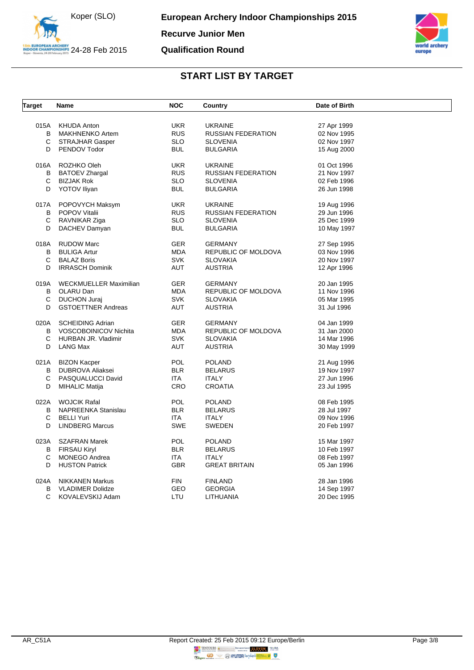



| Target | Name                          | <b>NOC</b> | Country                   | Date of Birth |  |
|--------|-------------------------------|------------|---------------------------|---------------|--|
|        |                               |            |                           |               |  |
| 015A   | <b>KHUDA Anton</b>            | <b>UKR</b> | <b>UKRAINE</b>            | 27 Apr 1999   |  |
| B      | MAKHNENKO Artem               | <b>RUS</b> | <b>RUSSIAN FEDERATION</b> | 02 Nov 1995   |  |
| С      | <b>STRAJHAR Gasper</b>        | <b>SLO</b> | <b>SLOVENIA</b>           | 02 Nov 1997   |  |
| D      | PENDOV Todor                  | <b>BUL</b> | <b>BULGARIA</b>           | 15 Aug 2000   |  |
| 016A   | ROZHKO Oleh                   | <b>UKR</b> | <b>UKRAINE</b>            | 01 Oct 1996   |  |
| В      | <b>BATOEV Zhargal</b>         | <b>RUS</b> | <b>RUSSIAN FEDERATION</b> | 21 Nov 1997   |  |
| С      | <b>BIZJAK Rok</b>             | <b>SLO</b> | <b>SLOVENIA</b>           | 02 Feb 1996   |  |
| D      | <b>YOTOV Iliyan</b>           | <b>BUL</b> | <b>BULGARIA</b>           | 26 Jun 1998   |  |
| 017A   | POPOVYCH Maksym               | <b>UKR</b> | <b>UKRAINE</b>            | 19 Aug 1996   |  |
| В      | <b>POPOV Vitalii</b>          | <b>RUS</b> | <b>RUSSIAN FEDERATION</b> | 29 Jun 1996   |  |
| С      | RAVNIKAR Ziga                 | <b>SLO</b> | <b>SLOVENIA</b>           | 25 Dec 1999   |  |
| D      | DACHEV Damyan                 | <b>BUL</b> | <b>BULGARIA</b>           | 10 May 1997   |  |
|        |                               |            |                           |               |  |
| 018A   | <b>RUDOW Marc</b>             | <b>GER</b> | <b>GERMANY</b>            | 27 Sep 1995   |  |
| B      | <b>BULIGA Artur</b>           | <b>MDA</b> | REPUBLIC OF MOLDOVA       | 03 Nov 1996   |  |
| С      | <b>BALAZ Boris</b>            | <b>SVK</b> | <b>SLOVAKIA</b>           | 20 Nov 1997   |  |
| D      | <b>IRRASCH Dominik</b>        | AUT        | <b>AUSTRIA</b>            | 12 Apr 1996   |  |
| 019A   | <b>WECKMUELLER Maximilian</b> | <b>GER</b> | <b>GERMANY</b>            | 20 Jan 1995   |  |
| В      | OLARU Dan                     | <b>MDA</b> | REPUBLIC OF MOLDOVA       | 11 Nov 1996   |  |
| С      | <b>DUCHON Juraj</b>           | <b>SVK</b> | <b>SLOVAKIA</b>           | 05 Mar 1995   |  |
| D      | <b>GSTOETTNER Andreas</b>     | <b>AUT</b> | <b>AUSTRIA</b>            | 31 Jul 1996   |  |
| 020A   | <b>SCHEIDING Adrian</b>       | <b>GER</b> | <b>GERMANY</b>            | 04 Jan 1999   |  |
| B      | <b>VOSCOBOINICOV Nichita</b>  | MDA        | REPUBLIC OF MOLDOVA       | 31 Jan 2000   |  |
| C      | HURBAN JR. Vladimir           | <b>SVK</b> | <b>SLOVAKIA</b>           | 14 Mar 1996   |  |
| D      | <b>LANG Max</b>               | AUT        | <b>AUSTRIA</b>            | 30 May 1999   |  |
| 021A   | <b>BIZON Kacper</b>           | <b>POL</b> | <b>POLAND</b>             | 21 Aug 1996   |  |
| B      | DUBROVA Aliaksei              | <b>BLR</b> | <b>BELARUS</b>            | 19 Nov 1997   |  |
| С      | PASQUALUCCI David             | ITA        | <b>ITALY</b>              | 27 Jun 1996   |  |
| D      |                               | <b>CRO</b> |                           |               |  |
|        | <b>MIHALIC Matija</b>         |            | <b>CROATIA</b>            | 23 Jul 1995   |  |
| 022A   | <b>WOJCIK Rafal</b>           | <b>POL</b> | <b>POLAND</b>             | 08 Feb 1995   |  |
| В      | NAPREENKA Stanislau           | <b>BLR</b> | <b>BELARUS</b>            | 28 Jul 1997   |  |
| C      | <b>BELLI Yuri</b>             | ITA        | <b>ITALY</b>              | 09 Nov 1996   |  |
| D      | <b>LINDBERG Marcus</b>        | <b>SWE</b> | <b>SWEDEN</b>             | 20 Feb 1997   |  |
| 023A   | SZAFRAN Marek                 | <b>POL</b> | <b>POLAND</b>             | 15 Mar 1997   |  |
| В      | FIRSAU Kiryl                  | <b>BLR</b> | <b>BELARUS</b>            | 10 Feb 1997   |  |
| С      | MONEGO Andrea                 | ITA        | <b>ITALY</b>              | 08 Feb 1997   |  |
| D      | <b>HUSTON Patrick</b>         | <b>GBR</b> | <b>GREAT BRITAIN</b>      | 05 Jan 1996   |  |
| 024A   | <b>NIKKANEN Markus</b>        | <b>FIN</b> | <b>FINLAND</b>            | 28 Jan 1996   |  |
| B      | <b>VLADIMER Dolidze</b>       | <b>GEO</b> | <b>GEORGIA</b>            | 14 Sep 1997   |  |
| C      | KOVALEVSKIJ Adam              | LTU        | LITHUANIA                 | 20 Dec 1995   |  |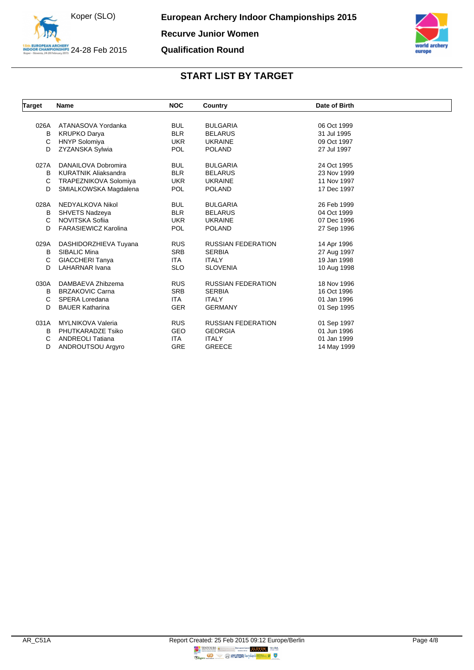

**Qualification Round**

| <b>Target</b> | <b>Name</b>                 | <b>NOC</b> | Country                   | Date of Birth |  |
|---------------|-----------------------------|------------|---------------------------|---------------|--|
|               |                             |            |                           |               |  |
| 026A          | ATANASOVA Yordanka          | <b>BUL</b> | <b>BULGARIA</b>           | 06 Oct 1999   |  |
| в             | <b>KRUPKO Darya</b>         | <b>BLR</b> | <b>BELARUS</b>            | 31 Jul 1995   |  |
| C             | <b>HNYP Solomiya</b>        | <b>UKR</b> | <b>UKRAINE</b>            | 09 Oct 1997   |  |
| D             | ZYZANSKA Sylwia             | <b>POL</b> | <b>POLAND</b>             | 27 Jul 1997   |  |
| 027A          | DANAILOVA Dobromira         | <b>BUL</b> | <b>BULGARIA</b>           | 24 Oct 1995   |  |
| B             | <b>KURATNIK Aliaksandra</b> | <b>BLR</b> | <b>BELARUS</b>            | 23 Nov 1999   |  |
| C             | TRAPEZNIKOVA Solomiya       | <b>UKR</b> | <b>UKRAINE</b>            | 11 Nov 1997   |  |
| D             | SMIALKOWSKA Magdalena       | <b>POL</b> | <b>POLAND</b>             | 17 Dec 1997   |  |
| 028A          | NEDYALKOVA Nikol            | <b>BUL</b> | <b>BULGARIA</b>           | 26 Feb 1999   |  |
| в             | <b>SHVETS Nadzeya</b>       | <b>BLR</b> | <b>BELARUS</b>            | 04 Oct 1999   |  |
| C             | NOVITSKA Sofija             | <b>UKR</b> | <b>UKRAINE</b>            | 07 Dec 1996   |  |
| D             | <b>FARASIEWICZ Karolina</b> | <b>POL</b> | <b>POLAND</b>             | 27 Sep 1996   |  |
| 029A          | DASHIDORZHIEVA Tuyana       | <b>RUS</b> | <b>RUSSIAN FEDERATION</b> | 14 Apr 1996   |  |
| в             | SIBALIC Mina                | <b>SRB</b> | <b>SERBIA</b>             | 27 Aug 1997   |  |
| C             | <b>GIACCHERI Tanya</b>      | ITA.       | <b>ITALY</b>              | 19 Jan 1998   |  |
| D             | <b>LAHARNAR Ivana</b>       | <b>SLO</b> | <b>SLOVENIA</b>           | 10 Aug 1998   |  |
| 030A          | DAMBAEVA Zhibzema           | <b>RUS</b> | <b>RUSSIAN FEDERATION</b> | 18 Nov 1996   |  |
| B             | <b>BRZAKOVIC Carna</b>      | <b>SRB</b> | <b>SERBIA</b>             | 16 Oct 1996   |  |
| C             | SPERA Loredana              | <b>ITA</b> | <b>ITALY</b>              | 01 Jan 1996   |  |
| D             | <b>BAUER Katharina</b>      | <b>GER</b> | <b>GERMANY</b>            | 01 Sep 1995   |  |
| 031A          | <b>MYLNIKOVA Valeria</b>    | <b>RUS</b> | <b>RUSSIAN FEDERATION</b> | 01 Sep 1997   |  |
| в             | PHUTKARADZE Tsiko           | <b>GEO</b> | <b>GEORGIA</b>            | 01 Jun 1996   |  |
| C             | <b>ANDREOLI Tatiana</b>     | <b>ITA</b> | <b>ITALY</b>              | 01 Jan 1999   |  |
| D             | ANDROUTSOU Argyro           | <b>GRE</b> | <b>GREECE</b>             | 14 May 1999   |  |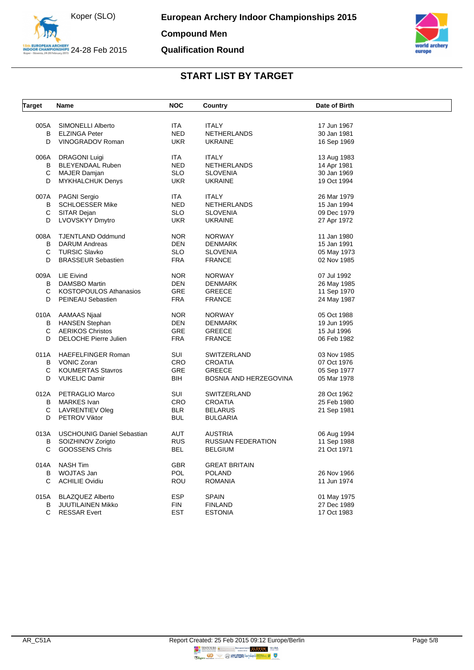



| <b>Target</b> | Name                              | <b>NOC</b> | Country                   | Date of Birth |  |
|---------------|-----------------------------------|------------|---------------------------|---------------|--|
|               |                                   |            |                           |               |  |
| 005A<br>B     | SIMONELLI Alberto                 | <b>ITA</b> | <b>ITALY</b>              | 17 Jun 1967   |  |
| D             | <b>ELZINGA Peter</b>              | <b>NED</b> | NETHERLANDS               | 30 Jan 1981   |  |
|               | VINOGRADOV Roman                  | <b>UKR</b> | <b>UKRAINE</b>            | 16 Sep 1969   |  |
| 006A          | <b>DRAGONI Luigi</b>              | ITA        | <b>ITALY</b>              | 13 Aug 1983   |  |
| B             | <b>BLEYENDAAL Ruben</b>           | <b>NED</b> | NETHERLANDS               | 14 Apr 1981   |  |
| С             | MAJER Damjan                      | <b>SLO</b> | <b>SLOVENIA</b>           | 30 Jan 1969   |  |
| D             | <b>MYKHALCHUK Denys</b>           | <b>UKR</b> | <b>UKRAINE</b>            | 19 Oct 1994   |  |
| 007A          | <b>PAGNI Sergio</b>               | ITA.       | ITALY                     | 26 Mar 1979   |  |
| В             | <b>SCHLOESSER Mike</b>            | NED        | NETHERLANDS               | 15 Jan 1994   |  |
| С             | SITAR Dejan                       | <b>SLO</b> | <b>SLOVENIA</b>           | 09 Dec 1979   |  |
| D             | <b>LVOVSKYY Dmytro</b>            | <b>UKR</b> | <b>UKRAINE</b>            | 27 Apr 1972   |  |
| 008A          | <b>TJENTLAND Oddmund</b>          | <b>NOR</b> | <b>NORWAY</b>             | 11 Jan 1980   |  |
| B             | <b>DARUM Andreas</b>              | <b>DEN</b> | <b>DENMARK</b>            | 15 Jan 1991   |  |
| C             | <b>TURSIC Slavko</b>              | <b>SLO</b> | <b>SLOVENIA</b>           | 05 May 1973   |  |
| D             | <b>BRASSEUR Sebastien</b>         | <b>FRA</b> | <b>FRANCE</b>             | 02 Nov 1985   |  |
|               |                                   |            |                           |               |  |
| 009A          | LIE Eivind                        | <b>NOR</b> | <b>NORWAY</b>             | 07 Jul 1992   |  |
| B             | DAMSBO Martin                     | DEN        | <b>DENMARK</b>            | 26 May 1985   |  |
| C             | <b>KOSTOPOULOS Athanasios</b>     | <b>GRE</b> | <b>GREECE</b>             | 11 Sep 1970   |  |
| D             | PEINEAU Sebastien                 | <b>FRA</b> | <b>FRANCE</b>             | 24 May 1987   |  |
| 010A          | AAMAAS Njaal                      | <b>NOR</b> | <b>NORWAY</b>             | 05 Oct 1988   |  |
| В             | <b>HANSEN Stephan</b>             | <b>DEN</b> | <b>DENMARK</b>            | 19 Jun 1995   |  |
| C             | <b>AERIKOS Christos</b>           | GRE        | <b>GREECE</b>             | 15 Jul 1996   |  |
| D             | <b>DELOCHE Pierre Julien</b>      | <b>FRA</b> | <b>FRANCE</b>             | 06 Feb 1982   |  |
| 011A          | <b>HAEFELFINGER Roman</b>         | SUI        | SWITZERLAND               | 03 Nov 1985   |  |
| B             | <b>VONIC Zoran</b>                | <b>CRO</b> | <b>CROATIA</b>            | 07 Oct 1976   |  |
| C             | <b>KOUMERTAS Stavros</b>          | <b>GRE</b> | <b>GREECE</b>             | 05 Sep 1977   |  |
| D             | <b>VUKELIC Damir</b>              | <b>BIH</b> | BOSNIA AND HERZEGOVINA    | 05 Mar 1978   |  |
|               |                                   |            |                           |               |  |
| 012A          | PETRAGLIO Marco                   | SUI        | <b>SWITZERLAND</b>        | 28 Oct 1962   |  |
| В             | <b>MARKES</b> Ivan                | <b>CRO</b> | <b>CROATIA</b>            | 25 Feb 1980   |  |
| С             | LAVRENTIEV Oleg                   | <b>BLR</b> | <b>BELARUS</b>            | 21 Sep 1981   |  |
| D             | <b>PETROV Viktor</b>              | <b>BUL</b> | <b>BULGARIA</b>           |               |  |
| 013A          | <b>USCHOUNIG Daniel Sebastian</b> | <b>AUT</b> | <b>AUSTRIA</b>            | 06 Aug 1994   |  |
| B             | SOIZHINOV Zorigto                 | <b>RUS</b> | <b>RUSSIAN FEDERATION</b> | 11 Sep 1988   |  |
| C             | <b>GOOSSENS Chris</b>             | BEL        | <b>BELGIUM</b>            | 21 Oct 1971   |  |
| 014A          | <b>NASH Tim</b>                   | <b>GBR</b> | <b>GREAT BRITAIN</b>      |               |  |
| B             | WOJTAS Jan                        | <b>POL</b> | <b>POLAND</b>             | 26 Nov 1966   |  |
| С             | <b>ACHILIE Ovidiu</b>             | ROU        | <b>ROMANIA</b>            | 11 Jun 1974   |  |
|               |                                   |            |                           |               |  |
| 015A          | <b>BLAZQUEZ Alberto</b>           | <b>ESP</b> | <b>SPAIN</b>              | 01 May 1975   |  |
| B             | <b>JUUTILAINEN Mikko</b>          | <b>FIN</b> | <b>FINLAND</b>            | 27 Dec 1989   |  |
| C             | <b>RESSAR Evert</b>               | <b>EST</b> | <b>ESTONIA</b>            | 17 Oct 1983   |  |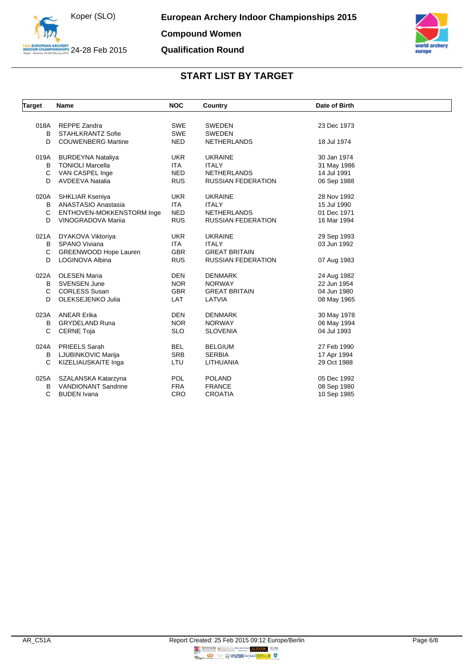



| <b>Target</b> | Name                         | <b>NOC</b> | Country                   | Date of Birth |  |
|---------------|------------------------------|------------|---------------------------|---------------|--|
|               |                              |            |                           |               |  |
| 018A          | <b>REPPE Zandra</b>          | <b>SWE</b> | <b>SWEDEN</b>             | 23 Dec 1973   |  |
| B             | <b>STAHLKRANTZ Sofie</b>     | <b>SWE</b> | <b>SWEDEN</b>             |               |  |
| D             | <b>COUWENBERG Martine</b>    | <b>NED</b> | <b>NETHERLANDS</b>        | 18 Jul 1974   |  |
| 019A          | <b>BURDEYNA Nataliya</b>     | <b>UKR</b> | <b>UKRAINE</b>            | 30 Jan 1974   |  |
| B             | <b>TONIOLI Marcella</b>      | <b>ITA</b> | <b>ITALY</b>              | 31 May 1986   |  |
| C             | VAN CASPEL Inge              | <b>NED</b> | <b>NETHERLANDS</b>        | 14 Jul 1991   |  |
| D             | <b>AVDEEVA Natalia</b>       | <b>RUS</b> | <b>RUSSIAN FEDERATION</b> | 06 Sep 1988   |  |
| 020A          | SHKLIAR Kseniya              | <b>UKR</b> | <b>UKRAINE</b>            | 28 Nov 1992   |  |
| В             | ANASTASIO Anastasia          | <b>ITA</b> | <b>ITALY</b>              | 15 Jul 1990   |  |
| C             | ENTHOVEN-MOKKENSTORM Inge    | <b>NED</b> | <b>NETHERLANDS</b>        | 01 Dec 1971   |  |
| D             | VINOGRADOVA Mariia           | <b>RUS</b> | <b>RUSSIAN FEDERATION</b> | 16 Mar 1994   |  |
| 021A          | DYAKOVA Viktoriya            | <b>UKR</b> | <b>UKRAINE</b>            | 29 Sep 1993   |  |
| B             | <b>SPANO Viviana</b>         | <b>ITA</b> | <b>ITALY</b>              | 03 Jun 1992   |  |
| C             | <b>GREENWOOD Hope Lauren</b> | <b>GBR</b> | <b>GREAT BRITAIN</b>      |               |  |
| D             | LOGINOVA Albina              | <b>RUS</b> | <b>RUSSIAN FEDERATION</b> | 07 Aug 1983   |  |
| 022A          | <b>OLESEN Maria</b>          | <b>DEN</b> | <b>DENMARK</b>            | 24 Aug 1982   |  |
| В             | <b>SVENSEN June</b>          | <b>NOR</b> | <b>NORWAY</b>             | 22 Jun 1954   |  |
| C             | <b>CORLESS Susan</b>         | <b>GBR</b> | <b>GREAT BRITAIN</b>      | 04 Jun 1980   |  |
| D             | OLEKSEJENKO Julia            | LAT        | LATVIA                    | 08 May 1965   |  |
| 023A          | <b>ANEAR Erika</b>           | <b>DEN</b> | <b>DENMARK</b>            | 30 May 1978   |  |
| B             | <b>GRYDELAND Runa</b>        | <b>NOR</b> | <b>NORWAY</b>             | 06 May 1994   |  |
| C             | <b>CERNE Toja</b>            | <b>SLO</b> | <b>SLOVENIA</b>           | 04 Jul 1993   |  |
|               |                              |            |                           |               |  |
| 024A          | <b>PRIEELS Sarah</b>         | <b>BEL</b> | <b>BELGIUM</b>            | 27 Feb 1990   |  |
| В             | LJUBINKOVIC Marija           | <b>SRB</b> | <b>SERBIA</b>             | 17 Apr 1994   |  |
| C             | KIZELIAUSKAITE Inga          | LTU        | LITHUANIA                 | 29 Oct 1988   |  |
| 025A          | SZALANSKA Katarzyna          | <b>POL</b> | <b>POLAND</b>             | 05 Dec 1992   |  |
| B             | <b>VANDIONANT Sandrine</b>   | <b>FRA</b> | <b>FRANCE</b>             | 08 Sep 1980   |  |
| C             | <b>BUDEN</b> Ivana           | CRO        | <b>CROATIA</b>            | 10 Sep 1985   |  |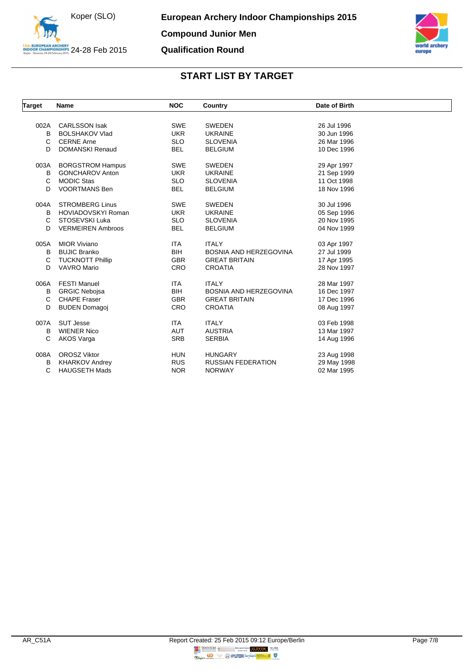



| Target | Name                      | <b>NOC</b> | Country                       | Date of Birth |  |
|--------|---------------------------|------------|-------------------------------|---------------|--|
|        |                           |            |                               |               |  |
| 002A   | <b>CARLSSON Isak</b>      | <b>SWE</b> | <b>SWEDEN</b>                 | 26 Jul 1996   |  |
| В      | <b>BOLSHAKOV Vlad</b>     | <b>UKR</b> | <b>UKRAINE</b>                | 30 Jun 1996   |  |
| C      | <b>CERNE Arne</b>         | <b>SLO</b> | <b>SLOVENIA</b>               | 26 Mar 1996   |  |
| D      | <b>DOMANSKI Renaud</b>    | <b>BEL</b> | <b>BELGIUM</b>                | 10 Dec 1996   |  |
| 003A   | <b>BORGSTROM Hampus</b>   | <b>SWE</b> | <b>SWEDEN</b>                 | 29 Apr 1997   |  |
| в      | <b>GONCHAROV Anton</b>    | <b>UKR</b> | <b>UKRAINE</b>                | 21 Sep 1999   |  |
| C      | <b>MODIC Stas</b>         | <b>SLO</b> | <b>SLOVENIA</b>               | 11 Oct 1998   |  |
| D      | <b>VOORTMANS Ben</b>      | <b>BEL</b> | <b>BELGIUM</b>                | 18 Nov 1996   |  |
| 004A   | <b>STROMBERG Linus</b>    | <b>SWE</b> | <b>SWEDEN</b>                 | 30 Jul 1996   |  |
| В      | <b>HOVIADOVSKYI Roman</b> | <b>UKR</b> | <b>UKRAINE</b>                | 05 Sep 1996   |  |
| C      | STOSEVSKI Luka            | <b>SLO</b> | <b>SLOVENIA</b>               | 20 Nov 1995   |  |
| D      | <b>VERMEIREN Ambroos</b>  | <b>BEL</b> | <b>BELGIUM</b>                | 04 Nov 1999   |  |
| 005A   | <b>MIOR Viviano</b>       | ITA.       | <b>ITALY</b>                  | 03 Apr 1997   |  |
| В      | <b>BUJIC Branko</b>       | <b>BIH</b> | <b>BOSNIA AND HERZEGOVINA</b> | 27 Jul 1999   |  |
| C      | <b>TUCKNOTT Phillip</b>   | <b>GBR</b> | <b>GREAT BRITAIN</b>          | 17 Apr 1995   |  |
| D      | <b>VAVRO Mario</b>        | <b>CRO</b> | <b>CROATIA</b>                | 28 Nov 1997   |  |
| 006A   | <b>FESTI Manuel</b>       | <b>ITA</b> | <b>ITALY</b>                  | 28 Mar 1997   |  |
| в      | <b>GRGIC Nebojsa</b>      | <b>BIH</b> | BOSNIA AND HERZEGOVINA        | 16 Dec 1997   |  |
| C      | <b>CHAPE Fraser</b>       | <b>GBR</b> | <b>GREAT BRITAIN</b>          | 17 Dec 1996   |  |
| D      | <b>BUDEN Domagoj</b>      | CRO        | <b>CROATIA</b>                | 08 Aug 1997   |  |
| 007A   | <b>SUT Jesse</b>          | <b>ITA</b> | <b>ITALY</b>                  | 03 Feb 1998   |  |
| В      | <b>WIENER Nico</b>        | <b>AUT</b> | <b>AUSTRIA</b>                | 13 Mar 1997   |  |
| C      | AKOS Varga                | <b>SRB</b> | <b>SERBIA</b>                 | 14 Aug 1996   |  |
| 008A   | <b>OROSZ Viktor</b>       | <b>HUN</b> | <b>HUNGARY</b>                | 23 Aug 1998   |  |
| В      | <b>KHARKOV Andrey</b>     | <b>RUS</b> | <b>RUSSIAN FEDERATION</b>     | 29 May 1998   |  |
| С      | <b>HAUGSETH Mads</b>      | <b>NOR</b> | <b>NORWAY</b>                 | 02 Mar 1995   |  |